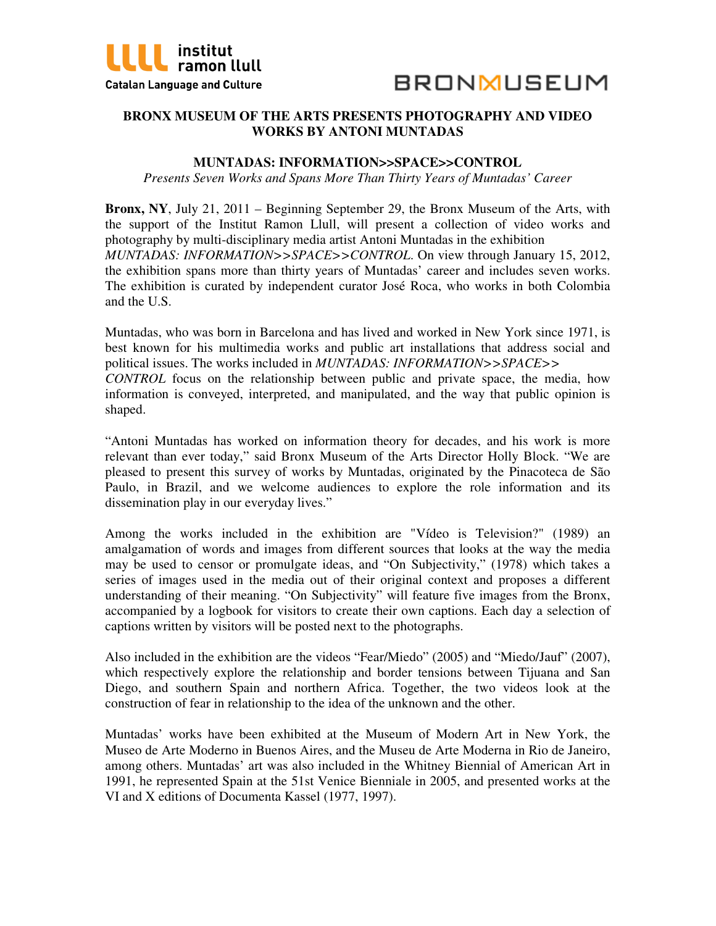



# **BRONX MUSEUM OF THE ARTS PRESENTS PHOTOGRAPHY AND VIDEO WORKS BY ANTONI MUNTADAS**

## **MUNTADAS: INFORMATION>>SPACE>>CONTROL**

*Presents Seven Works and Spans More Than Thirty Years of Muntadas' Career* 

**Bronx, NY**, July 21, 2011 – Beginning September 29, the Bronx Museum of the Arts, with the support of the Institut Ramon Llull, will present a collection of video works and photography by multi-disciplinary media artist Antoni Muntadas in the exhibition *MUNTADAS: INFORMATION>>SPACE>>CONTROL*. On view through January 15, 2012, the exhibition spans more than thirty years of Muntadas' career and includes seven works. The exhibition is curated by independent curator José Roca, who works in both Colombia and the U.S.

Muntadas, who was born in Barcelona and has lived and worked in New York since 1971, is best known for his multimedia works and public art installations that address social and political issues. The works included in *MUNTADAS: INFORMATION>>SPACE>> CONTROL* focus on the relationship between public and private space, the media, how information is conveyed, interpreted, and manipulated, and the way that public opinion is shaped.

"Antoni Muntadas has worked on information theory for decades, and his work is more relevant than ever today," said Bronx Museum of the Arts Director Holly Block. "We are pleased to present this survey of works by Muntadas, originated by the Pinacoteca de São Paulo, in Brazil, and we welcome audiences to explore the role information and its dissemination play in our everyday lives."

Among the works included in the exhibition are "Vídeo is Television?" (1989) an amalgamation of words and images from different sources that looks at the way the media may be used to censor or promulgate ideas, and "On Subjectivity," (1978) which takes a series of images used in the media out of their original context and proposes a different understanding of their meaning. "On Subjectivity" will feature five images from the Bronx, accompanied by a logbook for visitors to create their own captions. Each day a selection of captions written by visitors will be posted next to the photographs.

Also included in the exhibition are the videos "Fear/Miedo" (2005) and "Miedo/Jauf" (2007), which respectively explore the relationship and border tensions between Tijuana and San Diego, and southern Spain and northern Africa. Together, the two videos look at the construction of fear in relationship to the idea of the unknown and the other.

Muntadas' works have been exhibited at the Museum of Modern Art in New York, the Museo de Arte Moderno in Buenos Aires, and the Museu de Arte Moderna in Rio de Janeiro, among others. Muntadas' art was also included in the Whitney Biennial of American Art in 1991, he represented Spain at the 51st Venice Bienniale in 2005, and presented works at the VI and X editions of Documenta Kassel (1977, 1997).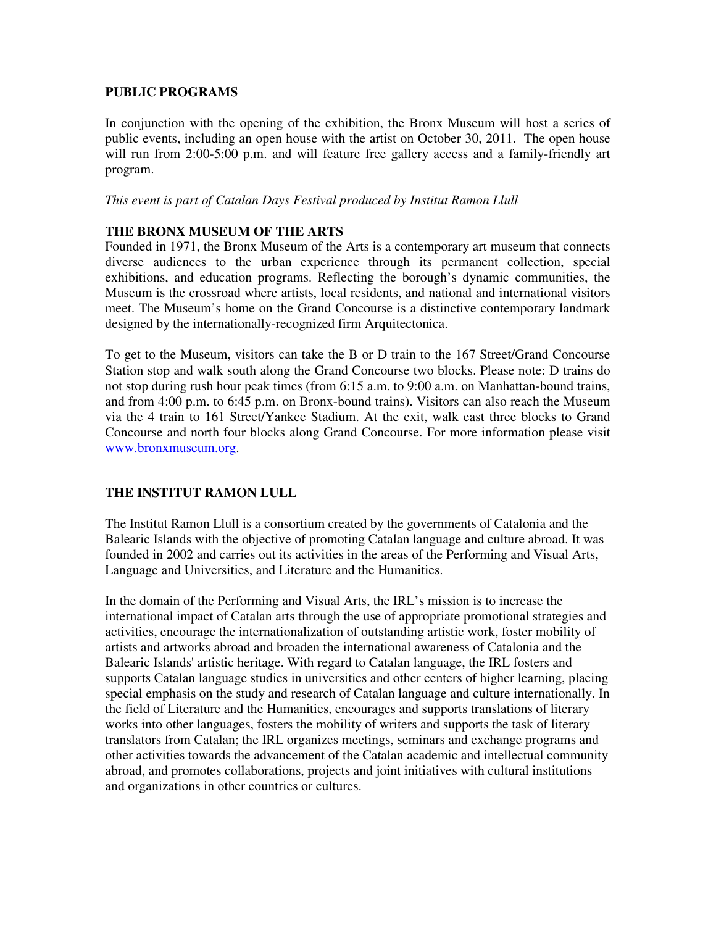## **PUBLIC PROGRAMS**

In conjunction with the opening of the exhibition, the Bronx Museum will host a series of public events, including an open house with the artist on October 30, 2011. The open house will run from 2:00-5:00 p.m. and will feature free gallery access and a family-friendly art program.

#### *This event is part of Catalan Days Festival produced by Institut Ramon Llull*

# **THE BRONX MUSEUM OF THE ARTS**

Founded in 1971, the Bronx Museum of the Arts is a contemporary art museum that connects diverse audiences to the urban experience through its permanent collection, special exhibitions, and education programs. Reflecting the borough's dynamic communities, the Museum is the crossroad where artists, local residents, and national and international visitors meet. The Museum's home on the Grand Concourse is a distinctive contemporary landmark designed by the internationally-recognized firm Arquitectonica.

To get to the Museum, visitors can take the B or D train to the 167 Street/Grand Concourse Station stop and walk south along the Grand Concourse two blocks. Please note: D trains do not stop during rush hour peak times (from 6:15 a.m. to 9:00 a.m. on Manhattan-bound trains, and from 4:00 p.m. to 6:45 p.m. on Bronx-bound trains). Visitors can also reach the Museum via the 4 train to 161 Street/Yankee Stadium. At the exit, walk east three blocks to Grand Concourse and north four blocks along Grand Concourse. For more information please visit www.bronxmuseum.org.

# **THE INSTITUT RAMON LULL**

The Institut Ramon Llull is a consortium created by the governments of Catalonia and the Balearic Islands with the objective of promoting Catalan language and culture abroad. It was founded in 2002 and carries out its activities in the areas of the Performing and Visual Arts, Language and Universities, and Literature and the Humanities.

In the domain of the Performing and Visual Arts, the IRL's mission is to increase the international impact of Catalan arts through the use of appropriate promotional strategies and activities, encourage the internationalization of outstanding artistic work, foster mobility of artists and artworks abroad and broaden the international awareness of Catalonia and the Balearic Islands' artistic heritage. With regard to Catalan language, the IRL fosters and supports Catalan language studies in universities and other centers of higher learning, placing special emphasis on the study and research of Catalan language and culture internationally. In the field of Literature and the Humanities, encourages and supports translations of literary works into other languages, fosters the mobility of writers and supports the task of literary translators from Catalan; the IRL organizes meetings, seminars and exchange programs and other activities towards the advancement of the Catalan academic and intellectual community abroad, and promotes collaborations, projects and joint initiatives with cultural institutions and organizations in other countries or cultures.